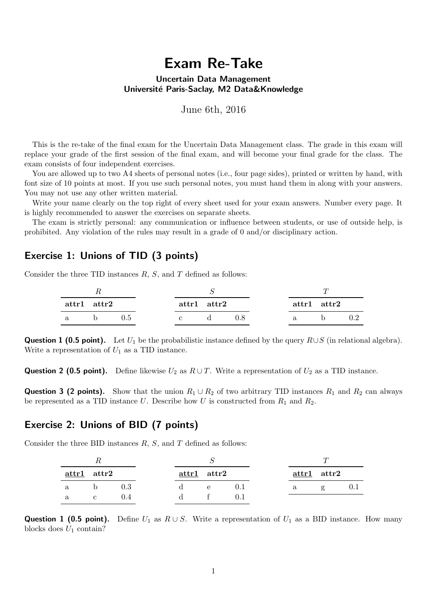# Exam Re-Take

#### Uncertain Data Management Université Paris-Saclay, M2 Data&Knowledge

June 6th, 2016

This is the re-take of the final exam for the Uncertain Data Management class. The grade in this exam will replace your grade of the first session of the final exam, and will become your final grade for the class. The exam consists of four independent exercises.

You are allowed up to two A4 sheets of personal notes (i.e., four page sides), printed or written by hand, with font size of 10 points at most. If you use such personal notes, you must hand them in along with your answers. You may not use any other written material.

Write your name clearly on the top right of every sheet used for your exam answers. Number every page. It is highly recommended to answer the exercises on separate sheets.

The exam is strictly personal: any communication or influence between students, or use of outside help, is prohibited. Any violation of the rules may result in a grade of 0 and/or disciplinary action.

#### Exercise 1: Unions of TID (3 points)

Consider the three TID instances  $R$ ,  $S$ , and  $T$  defined as follows:

| $\mathbf{attr1} \quad \mathbf{attr2}$ |     |  | $\text{attr1} \quad \text{attr2}$ |  |    | $\text{attr1} \quad \text{attr2}$ |  |
|---------------------------------------|-----|--|-----------------------------------|--|----|-----------------------------------|--|
|                                       | 0.5 |  |                                   |  | a. |                                   |  |

**Question 1 (0.5 point).** Let  $U_1$  be the probabilistic instance defined by the query  $R\cup S$  (in relational algebra). Write a representation of  $U_1$  as a TID instance.

**Question 2 (0.5 point).** Define likewise  $U_2$  as  $R \cup T$ . Write a representation of  $U_2$  as a TID instance.

**Question 3 (2 points).** Show that the union  $R_1 \cup R_2$  of two arbitrary TID instances  $R_1$  and  $R_2$  can always be represented as a TID instance U. Describe how U is constructed from  $R_1$  and  $R_2$ .

## Exercise 2: Unions of BID (7 points)

Consider the three BID instances  $R$ ,  $S$ , and  $T$  defined as follows:

|   | $attr1$ $attr2$ |         |   | $attr1$ attr2 |  |   | $attr1$ $attr2$ |  |
|---|-----------------|---------|---|---------------|--|---|-----------------|--|
| a | b.              | $0.3\,$ | ₫ | $\mathbf{e}$  |  | a | $\sigma$        |  |
| a |                 |         |   |               |  |   |                 |  |

**Question 1 (0.5 point).** Define  $U_1$  as  $R \cup S$ . Write a representation of  $U_1$  as a BID instance. How many blocks does  $U_1$  contain?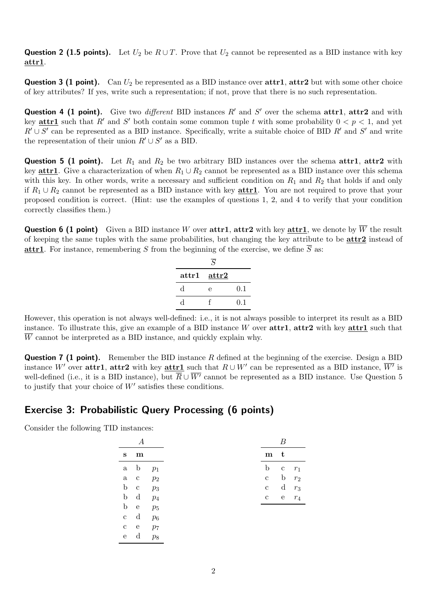**Question 2 (1.5 points).** Let  $U_2$  be  $R \cup T$ . Prove that  $U_2$  cannot be represented as a BID instance with key attr1.

**Question 3 (1 point).** Can  $U_2$  be represented as a BID instance over  $\text{attr1}, \text{attr2}$  but with some other choice of key attributes? If yes, write such a representation; if not, prove that there is no such representation.

**Question 4 (1 point).** Give two *different* BID instances  $R'$  and  $S'$  over the schema attr1, attr2 and with key **attr1** such that R' and S' both contain some common tuple t with some probability  $0 < p < 1$ , and yet  $R' \cup S'$  can be represented as a BID instance. Specifically, write a suitable choice of BID  $R'$  and  $S'$  and write the representation of their union  $R' \cup S'$  as a BID.

**Question 5 (1 point).** Let  $R_1$  and  $R_2$  be two arbitrary BID instances over the schema attr1, attr2 with key **attr1**. Give a characterization of when  $R_1 \cup R_2$  cannot be represented as a BID instance over this schema with this key. In other words, write a necessary and sufficient condition on  $R_1$  and  $R_2$  that holds if and only if  $R_1 \cup R_2$  cannot be represented as a BID instance with key **attr1**. You are not required to prove that your proposed condition is correct. (Hint: use the examples of questions 1, 2, and 4 to verify that your condition correctly classifies them.)

**Question 6 (1 point)** Given a BID instance W over attr1, attr2 with key attr1, we denote by  $\overline{W}$  the result of keeping the same tuples with the same probabilities, but changing the key attribute to be attr2 instead of **attr1**. For instance, remembering S from the beginning of the exercise, we define  $\overline{S}$  as:

|                | $\overline{S}$   |     |
|----------------|------------------|-----|
| $\text{attr1}$ | $\mathbf{attr2}$ |     |
| d              | е                | 0.1 |
| q.             |                  | 0.1 |

However, this operation is not always well-defined: i.e., it is not always possible to interpret its result as a BID instance. To illustrate this, give an example of a BID instance W over  $\text{attr1}, \text{attr2}$  with key  $\text{attr1}$  such that  $\overline{W}$  cannot be interpreted as a BID instance, and quickly explain why.

**Question 7 (1 point).** Remember the BID instance R defined at the beginning of the exercise. Design a BID instance W' over attr1, attr2 with key attr1 such that  $R \cup W'$  can be represented as a BID instance,  $\overline{W'}$  is well-defined (i.e., it is a BID instance), but  $\overline{R} \cup \overline{W'}$  cannot be represented as a BID instance. Use Question 5 to justify that your choice of  $W'$  satisfies these conditions.

### Exercise 3: Probabilistic Query Processing (6 points)

Consider the following TID instances:

| s              | m |       |
|----------------|---|-------|
| a.             | b | $p_1$ |
| a.             | Ċ | $p_2$ |
| b              | Ċ | $p_3$ |
| b              | d | $p_4$ |
| b              | e | $p_5$ |
| $\overline{c}$ | d | $p_6$ |
| C              | e | $p_7$ |
| e              | d | $p_8$ |

| m | t |       |
|---|---|-------|
| b | с | $r_1$ |
| Ċ | b | $r_2$ |
| C | d | $r_3$ |
| Ċ | e | $r_4$ |
|   |   |       |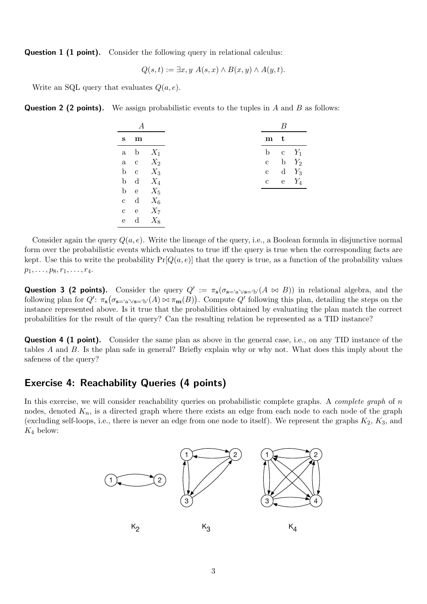**Question 1 (1 point).** Consider the following query in relational calculus:

$$
Q(s,t) := \exists x, y \; A(s,x) \land B(x,y) \land A(y,t).
$$

Write an SQL query that evaluates  $Q(a, e)$ .

**Question 2 (2 points).** We assign probabilistic events to the tuples in A and B as follows:

|              | m            |       |
|--------------|--------------|-------|
|              | a b          | $X_1$ |
| $\rm{a}$     | $\mathbf{c}$ | $X_2$ |
| $\mathbf b$  | $\mathbf{c}$ | $X_3$ |
| $\mathbf b$  | $\mathbf d$  | $X_4$ |
| $\mathbf b$  | $_{\rm e}$   | $X_5$ |
| $\rm{c}$     | $\mathbf d$  | $X_6$ |
| $\mathbf{c}$ | e            | $X_7$ |
| ${\bf e}$    | $\mathbf d$  | $X_8$ |

Consider again the query  $Q(a, e)$ . Write the lineage of the query, i.e., a Boolean formula in disjunctive normal form over the probabilistic events which evaluates to true iff the query is true when the corresponding facts are kept. Use this to write the probability  $Pr[Q(a, e)]$  that the query is true, as a function of the probability values  $p_1, \ldots, p_8, r_1, \ldots, r_4.$ 

**Question 3 (2 points).** Consider the query  $Q' := \pi_s(\sigma_{s= 'a' \vee s= 'b'}(A \bowtie B))$  in relational algebra, and the following plan for  $Q'$ :  $\pi_{\mathbf{s}}(\sigma_{\mathbf{s}=\mathbf{s}} \vee_{\mathbf{s}=\mathbf{b}}(A) \bowtie \pi_{\mathbf{m}}(B))$ . Compute  $Q'$  following this plan, detailing the steps on the instance represented above. Is it true that the probabilities obtained by evaluating the plan match the correct probabilities for the result of the query? Can the resulting relation be represented as a TID instance?

**Question 4 (1 point).** Consider the same plan as above in the general case, i.e., on any TID instance of the tables A and B. Is the plan safe in general? Briefly explain why or why not. What does this imply about the safeness of the query?

### Exercise 4: Reachability Queries (4 points)

In this exercise, we will consider reachability queries on probabilistic complete graphs. A *complete graph* of n nodes, denoted  $K_n$ , is a directed graph where there exists an edge from each node to each node of the graph (excluding self-loops, i.e., there is never an edge from one node to itself). We represent the graphs  $K_2$ ,  $K_3$ , and  $K_4$  below: